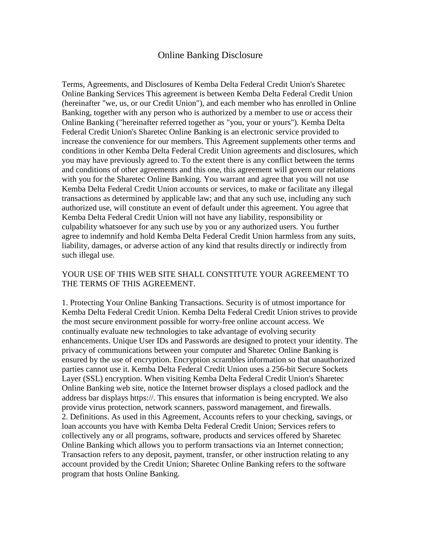## Online Banking Disclosure

Terms, Agreements, and Disclosures of Kemba Delta Federal Credit Union's Sharetec Online Banking Services This agreement is between Kemba Delta Federal Credit Union (hereinafter "we, us, or our Credit Union"), and each member who has enrolled in Online Banking, together with any person who is authorized by a member to use or access their Online Banking ("hereinafter referred together as "you, your or yours"). Kemba Delta Federal Credit Union's Sharetec Online Banking is an electronic service provided to increase the convenience for our members. This Agreement supplements other terms and conditions in other Kemba Delta Federal Credit Union agreements and disclosures, which you may have previously agreed to. To the extent there is any conflict between the terms and conditions of other agreements and this one, this agreement will govern our relations with you for the Sharetec Online Banking. You warrant and agree that you will not use Kemba Delta Federal Credit Union accounts or services, to make or facilitate any illegal transactions as determined by applicable law; and that any such use, including any such authorized use, will constitute an event of default under this agreement. You agree that Kemba Delta Federal Credit Union will not have any liability, responsibility or culpability whatsoever for any such use by you or any authorized users. You further agree to indemnify and hold Kemba Delta Federal Credit Union harmless from any suits, liability, damages, or adverse action of any kind that results directly or indirectly from such illegal use.

## YOUR USE OF THIS WEB SITE SHALL CONSTITUTE YOUR AGREEMENT TO THE TERMS OF THIS AGREEMENT.

1. Protecting Your Online Banking Transactions. Security is of utmost importance for Kemba Delta Federal Credit Union. Kemba Delta Federal Credit Union strives to provide the most secure environment possible for worry-free online account access. We continually evaluate new technologies to take advantage of evolving security enhancements. Unique User IDs and Passwords are designed to protect your identity. The privacy of communications between your computer and Sharetec Online Banking is ensured by the use of encryption. Encryption scrambles information so that unauthorized parties cannot use it. Kemba Delta Federal Credit Union uses a 256-bit Secure Sockets Layer (SSL) encryption. When visiting Kemba Delta Federal Credit Union's Sharetec Online Banking web site, notice the Internet browser displays a closed padlock and the address bar displays https://. This ensures that information is being encrypted. We also provide virus protection, network scanners, password management, and firewalls. 2. Definitions. As used in this Agreement, Accounts refers to your checking, savings, or loan accounts you have with Kemba Delta Federal Credit Union; Services refers to collectively any or all programs, software, products and services offered by Sharetec Online Banking which allows you to perform transactions via an Internet connection; Transaction refers to any deposit, payment, transfer, or other instruction relating to any account provided by the Credit Union; Sharetec Online Banking refers to the software program that hosts Online Banking.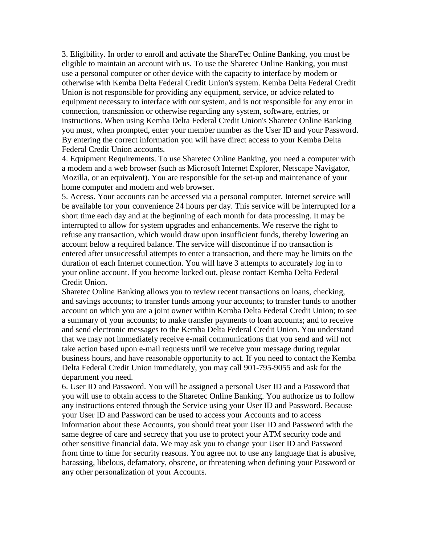3. Eligibility. In order to enroll and activate the ShareTec Online Banking, you must be eligible to maintain an account with us. To use the Sharetec Online Banking, you must use a personal computer or other device with the capacity to interface by modem or otherwise with Kemba Delta Federal Credit Union's system. Kemba Delta Federal Credit Union is not responsible for providing any equipment, service, or advice related to equipment necessary to interface with our system, and is not responsible for any error in connection, transmission or otherwise regarding any system, software, entries, or instructions. When using Kemba Delta Federal Credit Union's Sharetec Online Banking you must, when prompted, enter your member number as the User ID and your Password. By entering the correct information you will have direct access to your Kemba Delta Federal Credit Union accounts.

4. Equipment Requirements. To use Sharetec Online Banking, you need a computer with a modem and a web browser (such as Microsoft Internet Explorer, Netscape Navigator, Mozilla, or an equivalent). You are responsible for the set-up and maintenance of your home computer and modem and web browser.

5. Access. Your accounts can be accessed via a personal computer. Internet service will be available for your convenience 24 hours per day. This service will be interrupted for a short time each day and at the beginning of each month for data processing. It may be interrupted to allow for system upgrades and enhancements. We reserve the right to refuse any transaction, which would draw upon insufficient funds, thereby lowering an account below a required balance. The service will discontinue if no transaction is entered after unsuccessful attempts to enter a transaction, and there may be limits on the duration of each Internet connection. You will have 3 attempts to accurately log in to your online account. If you become locked out, please contact Kemba Delta Federal Credit Union.

Sharetec Online Banking allows you to review recent transactions on loans, checking, and savings accounts; to transfer funds among your accounts; to transfer funds to another account on which you are a joint owner within Kemba Delta Federal Credit Union; to see a summary of your accounts; to make transfer payments to loan accounts; and to receive and send electronic messages to the Kemba Delta Federal Credit Union. You understand that we may not immediately receive e-mail communications that you send and will not take action based upon e-mail requests until we receive your message during regular business hours, and have reasonable opportunity to act. If you need to contact the Kemba Delta Federal Credit Union immediately, you may call 901-795-9055 and ask for the department you need.

6. User ID and Password. You will be assigned a personal User ID and a Password that you will use to obtain access to the Sharetec Online Banking. You authorize us to follow any instructions entered through the Service using your User ID and Password. Because your User ID and Password can be used to access your Accounts and to access information about these Accounts, you should treat your User ID and Password with the same degree of care and secrecy that you use to protect your ATM security code and other sensitive financial data. We may ask you to change your User ID and Password from time to time for security reasons. You agree not to use any language that is abusive, harassing, libelous, defamatory, obscene, or threatening when defining your Password or any other personalization of your Accounts.